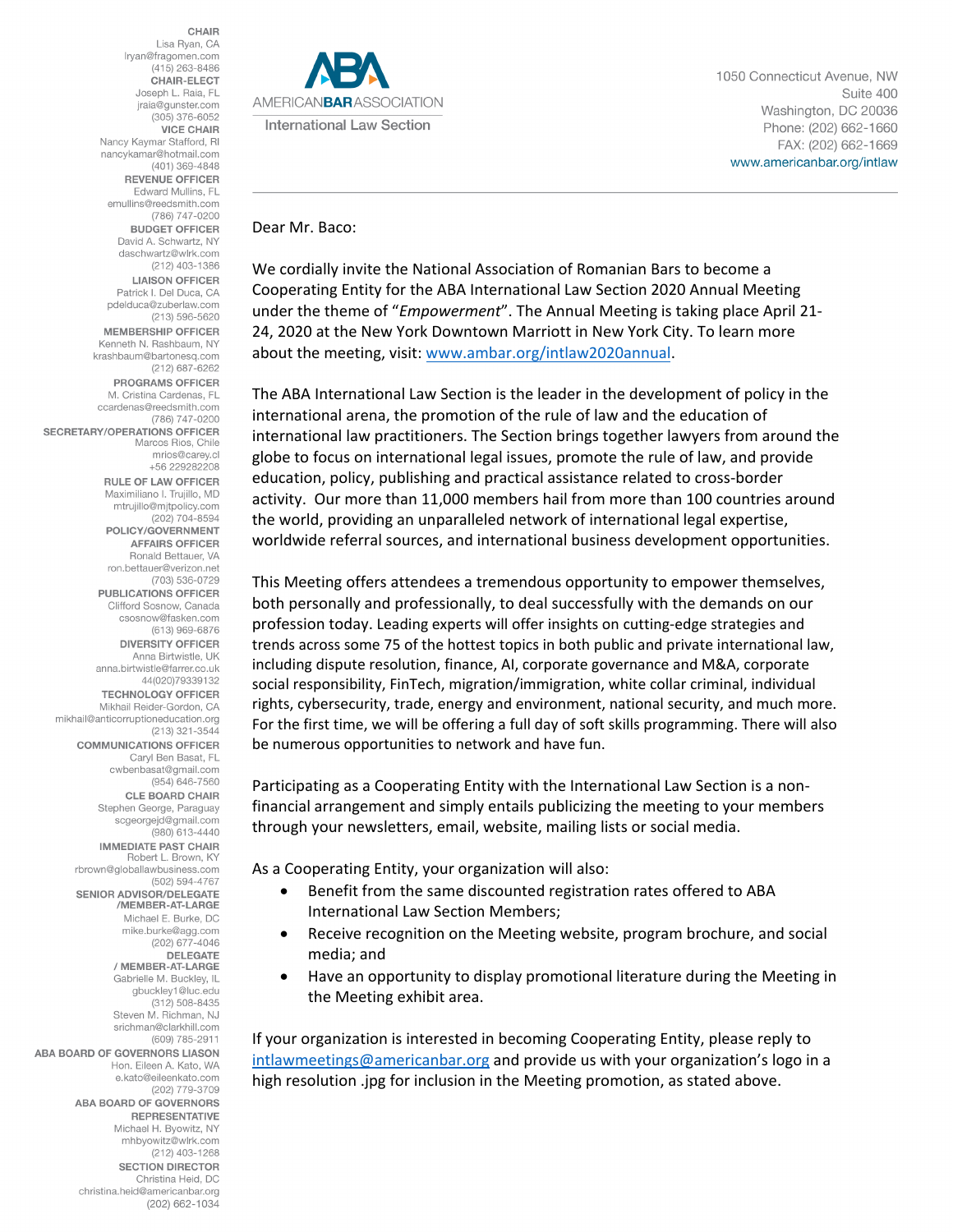**CHAIR** Lisa Ryan, CA Iryan@fragomen.com (415) 263-8486 **CHAIR-ELECT** Joseph L. Raia, FL jraia@gunster.com  $(305)$  376-6052 **VICE CHAIR** Nancy Kaymar Stafford, RI nancykamar@hotmail.com (401) 369-4848 **REVENUE OFFICER** Edward Mullins, FL emullins@reedsmith.com (786) 747-0200 **BUDGET OFFICER** David A. Schwartz, NY daschwartz@wlrk.com (212) 403-1386 **LIAISON OFFICER** Patrick I. Del Duca, CA pdelduca@zuberlaw.com (213) 596-5620 **MEMBERSHIP OFFICER** Kenneth N. Rashbaum, NY krashbaum@bartonesq.com (212) 687-6262 **PROGRAMS OFFICER** M. Cristina Cardenas, FL ccardenas@reedsmith.com (786) 747-0200 **SECRETARY/OPERATIONS OFFICER** Marcos Rios, Chile mrios@carey.cl +56 229282208 **RULE OF LAW OFFICER** Maximiliano I. Truiillo, MD mtrujillo@mjtpolicy.com  $(202) 704 - 8594$ POLICY/GOVERNMENT **AFFAIRS OFFICER** Ronald Bettauer, VA ron.bettauer@verizon.net (703) 536-0729 **PUBLICATIONS OFFICER** Clifford Sosnow, Canada csosnow@fasken.com (613) 969-6876 **DIVERSITY OFFICER** Anna Birtwistle, UK anna.birtwistle@farrer.co.uk 44(020)79339132 **TECHNOLOGY OFFICER** Mikhail Reider-Gordon, CA mikhail@anticorruptioneducation.org (213) 321-3544 **COMMUNICATIONS OFFICER** Caryl Ben Basat, FL cwbenbasat@gmail.com (954) 646-7560 **CLE BOARD CHAIR** Stephen George, Paraguay scgeorgejd@gmail.com (980) 613-4440 **IMMEDIATE PAST CHAIR** Robert L. Brown, KY rbrown@globallawbusiness.com (502) 594-4767 SENIOR ADVISOR/DELEGATE /MEMBER-AT-LARGE Michael E. Burke, DC mike.burke@agg.com (202) 677-4046 **DELEGATE** / MEMBER-AT-LARGE Gabrielle M. Buckley, IL gbuckley1@luc.edu  $(312) 508 - 8435$ Steven M. Richman, NJ srichman@clarkhill.com (609) 785-2911 ABA BOARD OF GOVERNORS LIASON Hon, Eileen A, Kato, WA e.kato@eileenkato.com (202) 779-3709 **ABA BOARD OF GOVERNORS REPRESENTATIVE** Michael H. Byowitz, NY mhbyowitz@wlrk.com (212) 403-1268 **SECTION DIRECTOR** Christina Heid, DC christina.heid@americanbar.org  $(202)$  662-1034



1050 Connecticut Avenue, NW Suite 400 Washington, DC 20036 Phone: (202) 662-1660 FAX: (202) 662-1669 www.americanbar.org/intlaw

Dear Mr. Baco:

We cordially invite the National Association of Romanian Bars to become a Cooperating Entity for the ABA International Law Section 2020 Annual Meeting under the theme of "*Empowerment*". The Annual Meeting is taking place April 21- 24, 2020 at the New York Downtown Marriott in New York City. To learn more about the meeting, visit: [www.ambar.org/intlaw2020annual.](http://www.ambar.org/intlaw2020annual)

The ABA International Law Section is the leader in the development of policy in the international arena, the promotion of the rule of law and the education of international law practitioners. The Section brings together lawyers from around the globe to focus on international legal issues, promote the rule of law, and provide education, policy, publishing and practical assistance related to cross-border activity. Our more than 11,000 members hail from more than 100 countries around the world, providing an unparalleled network of international legal expertise, worldwide referral sources, and international business development opportunities.

This Meeting offers attendees a tremendous opportunity to empower themselves, both personally and professionally, to deal successfully with the demands on our profession today. Leading experts will offer insights on cutting-edge strategies and trends across some 75 of the hottest topics in both public and private international law, including dispute resolution, finance, AI, corporate governance and M&A, corporate social responsibility, FinTech, migration/immigration, white collar criminal, individual rights, cybersecurity, trade, energy and environment, national security, and much more. For the first time, we will be offering a full day of soft skills programming. There will also be numerous opportunities to network and have fun.

Participating as a Cooperating Entity with the International Law Section is a nonfinancial arrangement and simply entails publicizing the meeting to your members through your newsletters, email, website, mailing lists or social media.

As a Cooperating Entity, your organization will also:

- Benefit from the same discounted registration rates offered to ABA International Law Section Members;
- Receive recognition on the Meeting website, program brochure, and social media; and
- Have an opportunity to display promotional literature during the Meeting in the Meeting exhibit area.

If your organization is interested in becoming Cooperating Entity, please reply to [intlawmeetings@americanbar.org](mailto:intlawmeetings@americanbar.org) and provide us with your organization's logo in a high resolution .jpg for inclusion in the Meeting promotion, as stated above.